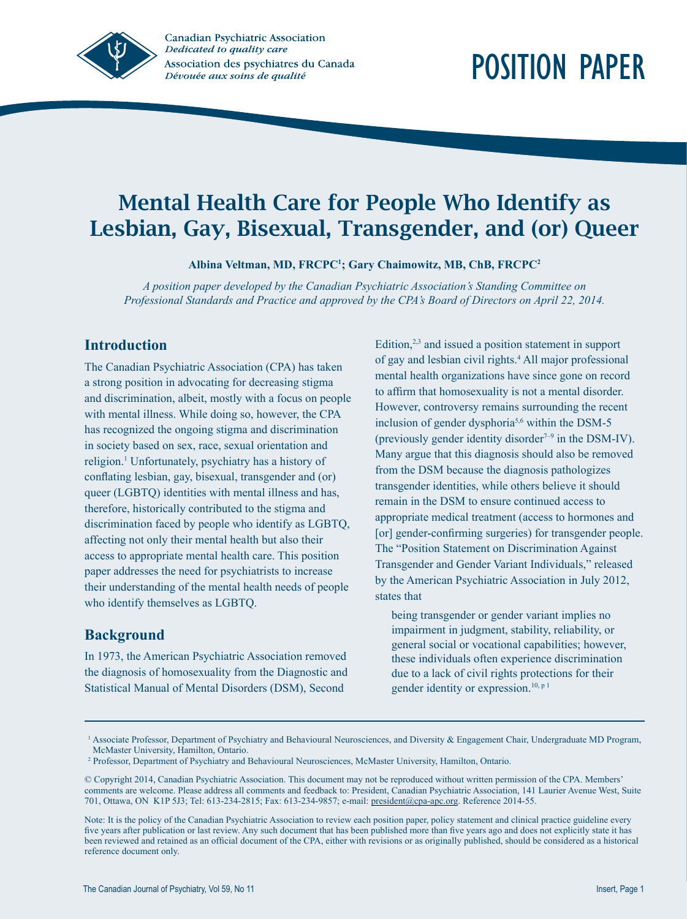

# Mental Health Care for People Who Identify as Lesbian, Gay, Bisexual, Transgender, and (or) Queer

**Albina Veltman, MD, FRCPC1 ; Gary Chaimowitz, MB, ChB, FRCPC2**

*A position paper developed by the Canadian Psychiatric Association's Standing Committee on Professional Standards and Practice and approved by the CPA's Board of Directors on April 22, 2014.*

# **Introduction**

The Canadian Psychiatric Association (CPA) has taken a strong position in advocating for decreasing stigma and discrimination, albeit, mostly with a focus on people with mental illness. While doing so, however, the CPA has recognized the ongoing stigma and discrimination in society based on sex, race, sexual orientation and religion.<sup>1</sup> Unfortunately, psychiatry has a history of conflating lesbian, gay, bisexual, transgender and (or) queer (LGBTQ) identities with mental illness and has, therefore, historically contributed to the stigma and discrimination faced by people who identify as LGBTQ, affecting not only their mental health but also their access to appropriate mental health care. This position paper addresses the need for psychiatrists to increase their understanding of the mental health needs of people who identify themselves as LGBTQ.

# **Background**

In 1973, the American Psychiatric Association removed the diagnosis of homosexuality from the Diagnostic and Statistical Manual of Mental Disorders (DSM), Second

Edition, $2,3$  and issued a position statement in support of gay and lesbian civil rights.4 All major professional mental health organizations have since gone on record to affirm that homosexuality is not a mental disorder. However, controversy remains surrounding the recent inclusion of gender dysphoria<sup>5,6</sup> within the DSM-5 (previously gender identity disorder<sup> $7-9$ </sup> in the DSM-IV). Many argue that this diagnosis should also be removed from the DSM because the diagnosis pathologizes transgender identities, while others believe it should remain in the DSM to ensure continued access to appropriate medical treatment (access to hormones and [or] gender-confirming surgeries) for transgender people. The "Position Statement on Discrimination Against Transgender and Gender Variant Individuals," released by the American Psychiatric Association in July 2012, states that

being transgender or gender variant implies no impairment in judgment, stability, reliability, or general social or vocational capabilities; however, these individuals often experience discrimination due to a lack of civil rights protections for their gender identity or expression.<sup>10, p 1</sup>

<sup>&</sup>lt;sup>1</sup> Associate Professor, Department of Psychiatry and Behavioural Neurosciences, and Diversity & Engagement Chair, Undergraduate MD Program, McMaster University, Hamilton, Ontario.

<sup>2</sup> Professor, Department of Psychiatry and Behavioural Neurosciences, McMaster University, Hamilton, Ontario.

<sup>©</sup> Copyright 2014, Canadian Psychiatric Association. This document may not be reproduced without written permission of the CPA. Members' comments are welcome. Please address all comments and feedback to: President, Canadian Psychiatric Association, 141 Laurier Avenue West, Suite 701, Ottawa, ON K1P 5J3; Tel: 613-234-2815; Fax: 613-234-9857; e-mail: president@cpa-apc.org. Reference 2014-55.

Note: It is the policy of the Canadian Psychiatric Association to review each position paper, policy statement and clinical practice guideline every five years after publication or last review. Any such document that has been published more than five years ago and does not explicitly state it has been reviewed and retained as an official document of the CPA, either with revisions or as originally published, should be considered as a historical reference document only.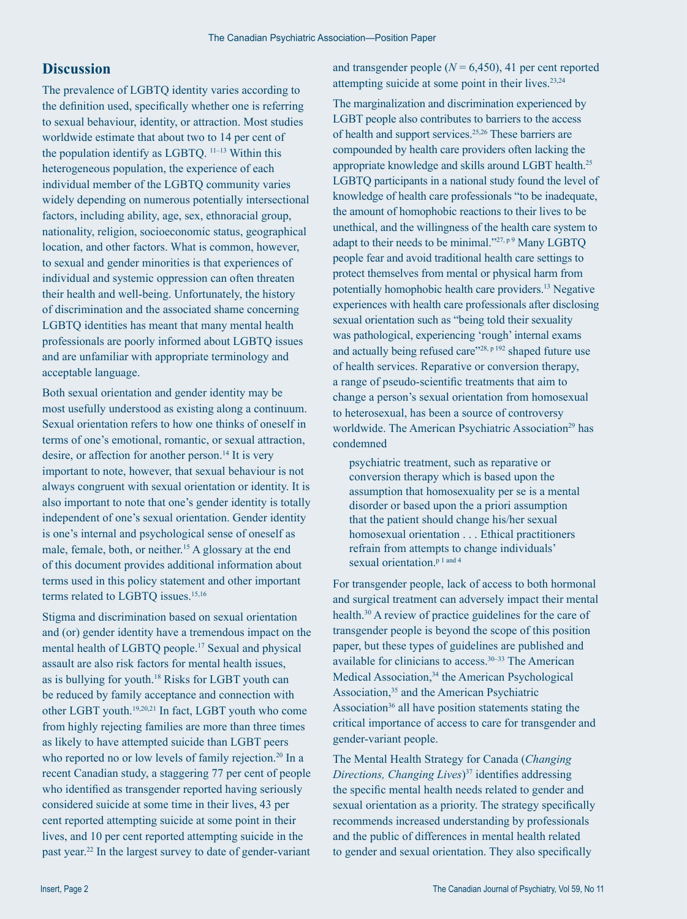#### **Discussion**

The prevalence of LGBTQ identity varies according to the definition used, specifically whether one is referring to sexual behaviour, identity, or attraction. Most studies worldwide estimate that about two to 14 per cent of the population identify as LGBTQ. 11–13 Within this heterogeneous population, the experience of each individual member of the LGBTQ community varies widely depending on numerous potentially intersectional factors, including ability, age, sex, ethnoracial group, nationality, religion, socioeconomic status, geographical location, and other factors. What is common, however, to sexual and gender minorities is that experiences of individual and systemic oppression can often threaten their health and well-being. Unfortunately, the history of discrimination and the associated shame concerning LGBTQ identities has meant that many mental health professionals are poorly informed about LGBTQ issues and are unfamiliar with appropriate terminology and acceptable language.

Both sexual orientation and gender identity may be most usefully understood as existing along a continuum. Sexual orientation refers to how one thinks of oneself in terms of one's emotional, romantic, or sexual attraction, desire, or affection for another person.<sup>14</sup> It is very important to note, however, that sexual behaviour is not always congruent with sexual orientation or identity. It is also important to note that one's gender identity is totally independent of one's sexual orientation. Gender identity is one's internal and psychological sense of oneself as male, female, both, or neither.<sup>15</sup> A glossary at the end of this document provides additional information about terms used in this policy statement and other important terms related to LGBTQ issues.<sup>15,16</sup>

Stigma and discrimination based on sexual orientation and (or) gender identity have a tremendous impact on the mental health of LGBTQ people.17 Sexual and physical assault are also risk factors for mental health issues, as is bullying for youth.18 Risks for LGBT youth can be reduced by family acceptance and connection with other LGBT youth.19,20,21 In fact, LGBT youth who come from highly rejecting families are more than three times as likely to have attempted suicide than LGBT peers who reported no or low levels of family rejection.<sup>20</sup> In a recent Canadian study, a staggering 77 per cent of people who identified as transgender reported having seriously considered suicide at some time in their lives, 43 per cent reported attempting suicide at some point in their lives, and 10 per cent reported attempting suicide in the past year.22 In the largest survey to date of gender-variant

and transgender people  $(N = 6,450)$ , 41 per cent reported attempting suicide at some point in their lives.<sup>23,24</sup>

The marginalization and discrimination experienced by LGBT people also contributes to barriers to the access of health and support services.<sup>25,26</sup> These barriers are compounded by health care providers often lacking the appropriate knowledge and skills around LGBT health.25 LGBTQ participants in a national study found the level of knowledge of health care professionals "to be inadequate, the amount of homophobic reactions to their lives to be unethical, and the willingness of the health care system to adapt to their needs to be minimal." $27, p9$  Many LGBTQ people fear and avoid traditional health care settings to protect themselves from mental or physical harm from potentially homophobic health care providers.13 Negative experiences with health care professionals after disclosing sexual orientation such as "being told their sexuality was pathological, experiencing 'rough' internal exams and actually being refused care"<sup>28, p 192</sup> shaped future use of health services. Reparative or conversion therapy, a range of pseudo-scientific treatments that aim to change a person's sexual orientation from homosexual to heterosexual, has been a source of controversy worldwide. The American Psychiatric Association<sup>29</sup> has condemned

psychiatric treatment, such as reparative or conversion therapy which is based upon the assumption that homosexuality per se is a mental disorder or based upon the a priori assumption that the patient should change his/her sexual homosexual orientation . . . Ethical practitioners refrain from attempts to change individuals' sexual orientation.<sup>p 1 and 4</sup>

For transgender people, lack of access to both hormonal and surgical treatment can adversely impact their mental health.<sup>30</sup> A review of practice guidelines for the care of transgender people is beyond the scope of this position paper, but these types of guidelines are published and available for clinicians to access.30–33 The American Medical Association,<sup>34</sup> the American Psychological Association,<sup>35</sup> and the American Psychiatric Association<sup>36</sup> all have position statements stating the critical importance of access to care for transgender and gender-variant people.

The Mental Health Strategy for Canada (*Changing Directions, Changing Lives*)<sup>37</sup> identifies addressing the specific mental health needs related to gender and sexual orientation as a priority. The strategy specifically recommends increased understanding by professionals and the public of differences in mental health related to gender and sexual orientation. They also specifically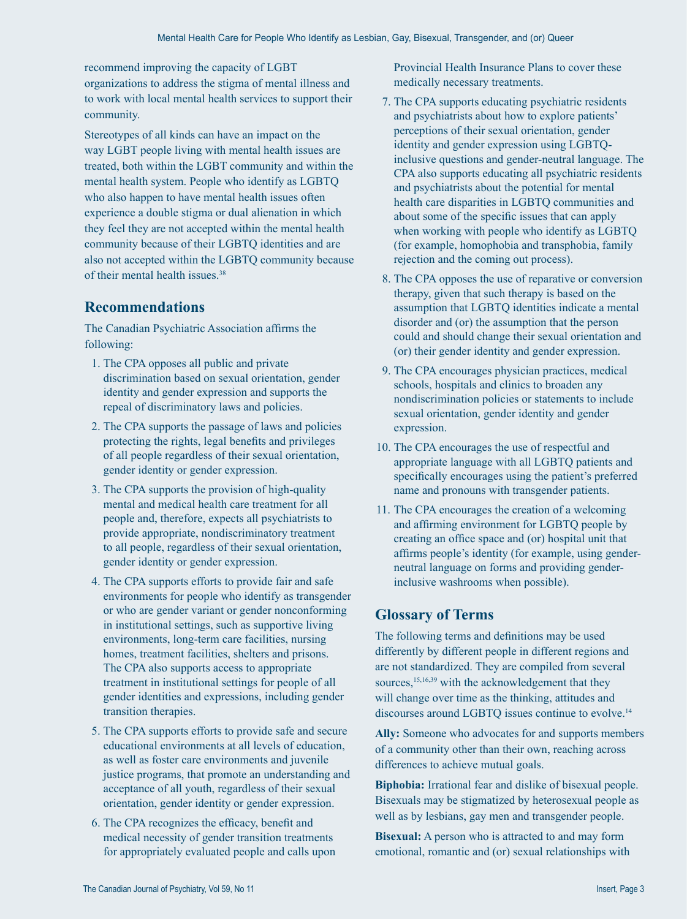recommend improving the capacity of LGBT organizations to address the stigma of mental illness and to work with local mental health services to support their community.

Stereotypes of all kinds can have an impact on the way LGBT people living with mental health issues are treated, both within the LGBT community and within the mental health system. People who identify as LGBTQ who also happen to have mental health issues often experience a double stigma or dual alienation in which they feel they are not accepted within the mental health community because of their LGBTQ identities and are also not accepted within the LGBTQ community because of their mental health issues.38

## **Recommendations**

The Canadian Psychiatric Association affirms the following:

- 1. The CPA opposes all public and private discrimination based on sexual orientation, gender identity and gender expression and supports the repeal of discriminatory laws and policies.
- 2. The CPA supports the passage of laws and policies protecting the rights, legal benefits and privileges of all people regardless of their sexual orientation, gender identity or gender expression.
- 3. The CPA supports the provision of high-quality mental and medical health care treatment for all people and, therefore, expects all psychiatrists to provide appropriate, nondiscriminatory treatment to all people, regardless of their sexual orientation, gender identity or gender expression.
- 4. The CPA supports efforts to provide fair and safe environments for people who identify as transgender or who are gender variant or gender nonconforming in institutional settings, such as supportive living environments, long-term care facilities, nursing homes, treatment facilities, shelters and prisons. The CPA also supports access to appropriate treatment in institutional settings for people of all gender identities and expressions, including gender transition therapies.
- 5. The CPA supports efforts to provide safe and secure educational environments at all levels of education, as well as foster care environments and juvenile justice programs, that promote an understanding and acceptance of all youth, regardless of their sexual orientation, gender identity or gender expression.
- 6. The CPA recognizes the efficacy, benefit and medical necessity of gender transition treatments for appropriately evaluated people and calls upon

Provincial Health Insurance Plans to cover these medically necessary treatments.

- 7. The CPA supports educating psychiatric residents and psychiatrists about how to explore patients' perceptions of their sexual orientation, gender identity and gender expression using LGBTQinclusive questions and gender-neutral language. The CPA also supports educating all psychiatric residents and psychiatrists about the potential for mental health care disparities in LGBTQ communities and about some of the specific issues that can apply when working with people who identify as LGBTQ (for example, homophobia and transphobia, family rejection and the coming out process).
- 8. The CPA opposes the use of reparative or conversion therapy, given that such therapy is based on the assumption that LGBTQ identities indicate a mental disorder and (or) the assumption that the person could and should change their sexual orientation and (or) their gender identity and gender expression.
- 9. The CPA encourages physician practices, medical schools, hospitals and clinics to broaden any nondiscrimination policies or statements to include sexual orientation, gender identity and gender expression.
- 10. The CPA encourages the use of respectful and appropriate language with all LGBTQ patients and specifically encourages using the patient's preferred name and pronouns with transgender patients.
- 11. The CPA encourages the creation of a welcoming and affirming environment for LGBTQ people by creating an office space and (or) hospital unit that affirms people's identity (for example, using genderneutral language on forms and providing genderinclusive washrooms when possible).

## **Glossary of Terms**

The following terms and definitions may be used differently by different people in different regions and are not standardized. They are compiled from several sources,<sup>15,16,39</sup> with the acknowledgement that they will change over time as the thinking, attitudes and discourses around LGBTQ issues continue to evolve.<sup>14</sup>

**Ally:** Someone who advocates for and supports members of a community other than their own, reaching across differences to achieve mutual goals.

**Biphobia:** Irrational fear and dislike of bisexual people. Bisexuals may be stigmatized by heterosexual people as well as by lesbians, gay men and transgender people.

**Bisexual:** A person who is attracted to and may form emotional, romantic and (or) sexual relationships with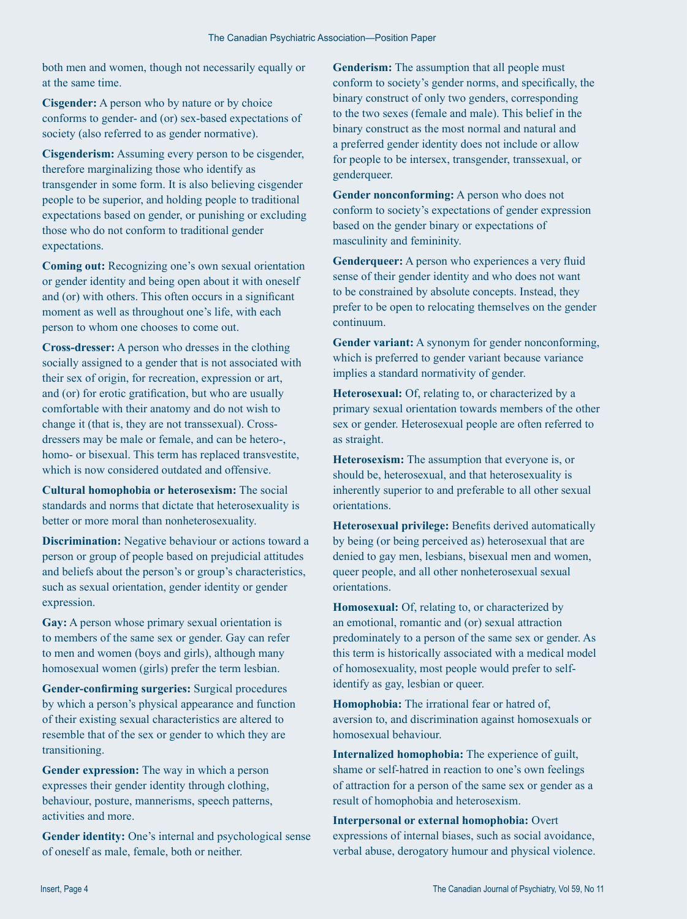both men and women, though not necessarily equally or at the same time.

**Cisgender:** A person who by nature or by choice conforms to gender- and (or) sex-based expectations of society (also referred to as gender normative).

**Cisgenderism:** Assuming every person to be cisgender, therefore marginalizing those who identify as transgender in some form. It is also believing cisgender people to be superior, and holding people to traditional expectations based on gender, or punishing or excluding those who do not conform to traditional gender expectations.

**Coming out:** Recognizing one's own sexual orientation or gender identity and being open about it with oneself and (or) with others. This often occurs in a significant moment as well as throughout one's life, with each person to whom one chooses to come out.

**Cross-dresser:** A person who dresses in the clothing socially assigned to a gender that is not associated with their sex of origin, for recreation, expression or art, and (or) for erotic gratification, but who are usually comfortable with their anatomy and do not wish to change it (that is, they are not transsexual). Crossdressers may be male or female, and can be hetero-, homo- or bisexual. This term has replaced transvestite, which is now considered outdated and offensive.

**Cultural homophobia or heterosexism:** The social standards and norms that dictate that heterosexuality is better or more moral than nonheterosexuality.

**Discrimination:** Negative behaviour or actions toward a person or group of people based on prejudicial attitudes and beliefs about the person's or group's characteristics, such as sexual orientation, gender identity or gender expression.

**Gay:** A person whose primary sexual orientation is to members of the same sex or gender. Gay can refer to men and women (boys and girls), although many homosexual women (girls) prefer the term lesbian.

**Gender-confirming surgeries:** Surgical procedures by which a person's physical appearance and function of their existing sexual characteristics are altered to resemble that of the sex or gender to which they are transitioning.

**Gender expression:** The way in which a person expresses their gender identity through clothing, behaviour, posture, mannerisms, speech patterns, activities and more.

**Gender identity:** One's internal and psychological sense of oneself as male, female, both or neither.

**Genderism:** The assumption that all people must conform to society's gender norms, and specifically, the binary construct of only two genders, corresponding to the two sexes (female and male). This belief in the binary construct as the most normal and natural and a preferred gender identity does not include or allow for people to be intersex, transgender, transsexual, or genderqueer.

**Gender nonconforming:** A person who does not conform to society's expectations of gender expression based on the gender binary or expectations of masculinity and femininity.

**Genderqueer:** A person who experiences a very fluid sense of their gender identity and who does not want to be constrained by absolute concepts. Instead, they prefer to be open to relocating themselves on the gender continuum.

**Gender variant:** A synonym for gender nonconforming, which is preferred to gender variant because variance implies a standard normativity of gender.

**Heterosexual:** Of, relating to, or characterized by a primary sexual orientation towards members of the other sex or gender. Heterosexual people are often referred to as straight.

**Heterosexism:** The assumption that everyone is, or should be, heterosexual, and that heterosexuality is inherently superior to and preferable to all other sexual orientations.

**Heterosexual privilege:** Benefits derived automatically by being (or being perceived as) heterosexual that are denied to gay men, lesbians, bisexual men and women, queer people, and all other nonheterosexual sexual orientations.

**Homosexual:** Of, relating to, or characterized by an emotional, romantic and (or) sexual attraction predominately to a person of the same sex or gender. As this term is historically associated with a medical model of homosexuality, most people would prefer to selfidentify as gay, lesbian or queer.

**Homophobia:** The irrational fear or hatred of, aversion to, and discrimination against homosexuals or homosexual behaviour.

**Internalized homophobia:** The experience of guilt, shame or self-hatred in reaction to one's own feelings of attraction for a person of the same sex or gender as a result of homophobia and heterosexism.

**Interpersonal or external homophobia:** Overt expressions of internal biases, such as social avoidance, verbal abuse, derogatory humour and physical violence.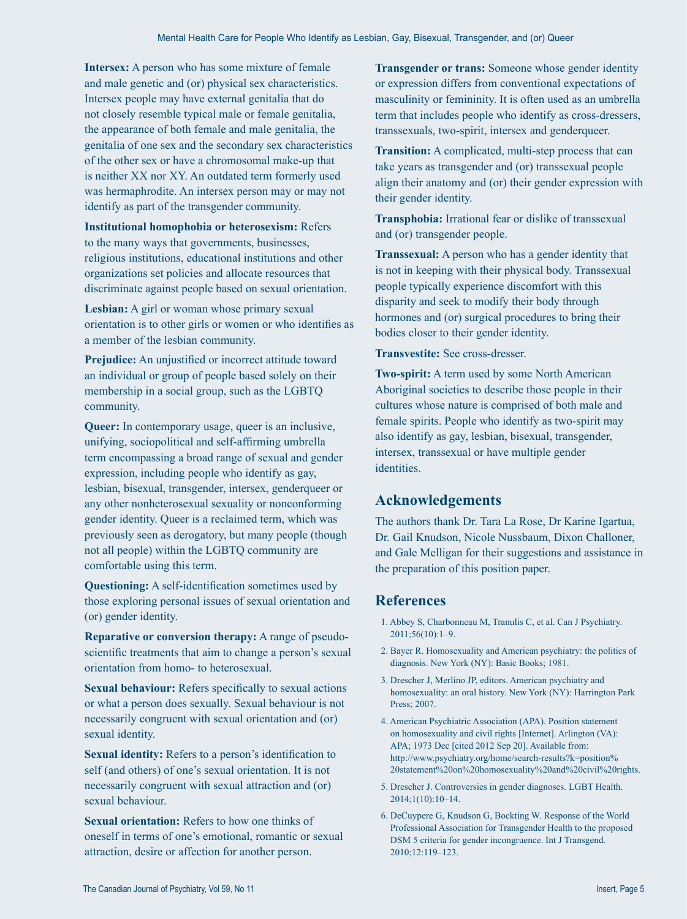**Intersex:** A person who has some mixture of female and male genetic and (or) physical sex characteristics. Intersex people may have external genitalia that do not closely resemble typical male or female genitalia, the appearance of both female and male genitalia, the genitalia of one sex and the secondary sex characteristics of the other sex or have a chromosomal make-up that is neither XX nor XY. An outdated term formerly used was hermaphrodite. An intersex person may or may not identify as part of the transgender community.

**Institutional homophobia or heterosexism:** Refers to the many ways that governments, businesses, religious institutions, educational institutions and other organizations set policies and allocate resources that discriminate against people based on sexual orientation.

**Lesbian:** A girl or woman whose primary sexual orientation is to other girls or women or who identifies as a member of the lesbian community.

**Prejudice:** An unjustified or incorrect attitude toward an individual or group of people based solely on their membership in a social group, such as the LGBTQ community.

**Queer:** In contemporary usage, queer is an inclusive, unifying, sociopolitical and self-affirming umbrella term encompassing a broad range of sexual and gender expression, including people who identify as gay, lesbian, bisexual, transgender, intersex, genderqueer or any other nonheterosexual sexuality or nonconforming gender identity. Queer is a reclaimed term, which was previously seen as derogatory, but many people (though not all people) within the LGBTQ community are comfortable using this term.

**Questioning:** A self-identification sometimes used by those exploring personal issues of sexual orientation and (or) gender identity.

**Reparative or conversion therapy:** A range of pseudoscientific treatments that aim to change a person's sexual orientation from homo- to heterosexual.

**Sexual behaviour:** Refers specifically to sexual actions or what a person does sexually. Sexual behaviour is not necessarily congruent with sexual orientation and (or) sexual identity.

**Sexual identity:** Refers to a person's identification to self (and others) of one's sexual orientation. It is not necessarily congruent with sexual attraction and (or) sexual behaviour.

**Sexual orientation:** Refers to how one thinks of oneself in terms of one's emotional, romantic or sexual attraction, desire or affection for another person.

**Transgender or trans:** Someone whose gender identity or expression differs from conventional expectations of masculinity or femininity. It is often used as an umbrella term that includes people who identify as cross-dressers, transsexuals, two-spirit, intersex and genderqueer.

**Transition:** A complicated, multi-step process that can take years as transgender and (or) transsexual people align their anatomy and (or) their gender expression with their gender identity.

**Transphobia:** Irrational fear or dislike of transsexual and (or) transgender people.

**Transsexual:** A person who has a gender identity that is not in keeping with their physical body. Transsexual people typically experience discomfort with this disparity and seek to modify their body through hormones and (or) surgical procedures to bring their bodies closer to their gender identity.

**Transvestite:** See cross-dresser.

**Two-spirit:** A term used by some North American Aboriginal societies to describe those people in their cultures whose nature is comprised of both male and female spirits. People who identify as two-spirit may also identify as gay, lesbian, bisexual, transgender, intersex, transsexual or have multiple gender identities.

#### **Acknowledgements**

The authors thank Dr. Tara La Rose, Dr Karine Igartua, Dr. Gail Knudson, Nicole Nussbaum, Dixon Challoner, and Gale Melligan for their suggestions and assistance in the preparation of this position paper.

### **References**

- 1. Abbey S, Charbonneau M, Tranulis C, et al. Can J Psychiatry. 2011;56(10):1–9.
- 2. Bayer R. Homosexuality and American psychiatry: the politics of diagnosis. New York (NY): Basic Books; 1981.
- 3. Drescher J, Merlino JP, editors. American psychiatry and homosexuality: an oral history. New York (NY): Harrington Park Press; 2007.
- 4. American Psychiatric Association (APA). Position statement on homosexuality and civil rights [Internet]. Arlington (VA): APA; 1973 Dec [cited 2012 Sep 20]. Available from: http://www.psychiatry.org/home/search-results?k=position% 20statement%20on%20homosexuality%20and%20civil%20rights.
- 5. Drescher J. Controversies in gender diagnoses. LGBT Health. 2014;1(10):10–14.
- 6. DeCuypere G, Knudson G, Bockting W. Response of the World Professional Association for Transgender Health to the proposed DSM 5 criteria for gender incongruence. Int J Transgend. 2010;12:119–123.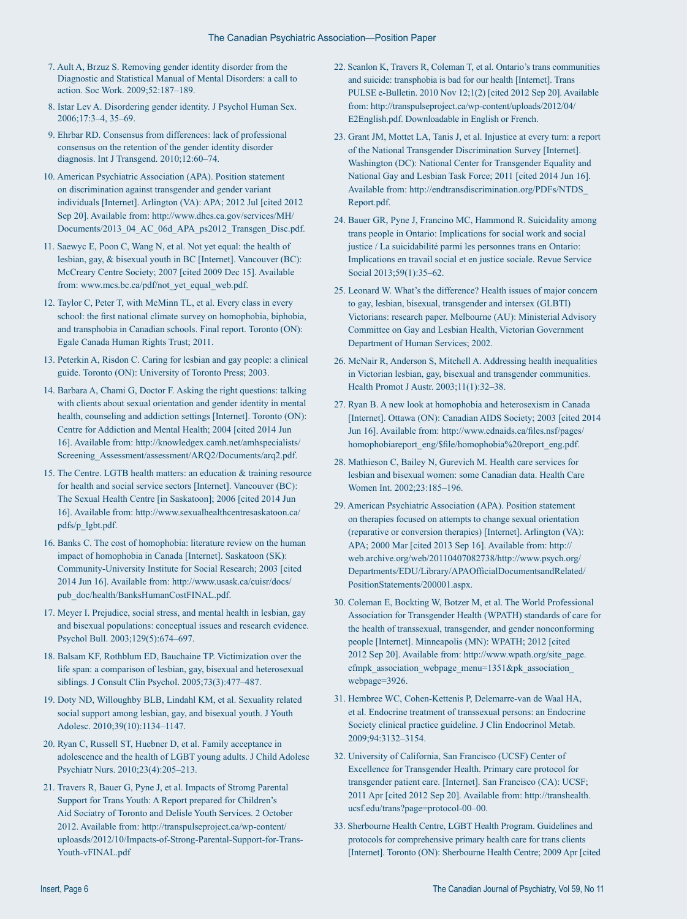- 7. Ault A, Brzuz S. Removing gender identity disorder from the Diagnostic and Statistical Manual of Mental Disorders: a call to action. Soc Work. 2009;52:187–189.
- 8. Istar Lev A. Disordering gender identity. J Psychol Human Sex. 2006;17:3–4, 35–69.
- 9. Ehrbar RD. Consensus from differences: lack of professional consensus on the retention of the gender identity disorder diagnosis. Int J Transgend. 2010;12:60–74.
- 10. American Psychiatric Association (APA). Position statement on discrimination against transgender and gender variant individuals [Internet]. Arlington (VA): APA; 2012 Jul [cited 2012 Sep 20]. Available from: http://www.dhcs.ca.gov/services/MH/ Documents/2013\_04\_AC\_06d\_APA\_ps2012\_Transgen\_Disc.pdf.
- 11. Saewyc E, Poon C, Wang N, et al. Not yet equal: the health of lesbian, gay, & bisexual youth in BC [Internet]. Vancouver (BC): McCreary Centre Society; 2007 [cited 2009 Dec 15]. Available from: www.mcs.bc.ca/pdf/not\_yet\_equal\_web.pdf.
- 12. Taylor C, Peter T, with McMinn TL, et al. Every class in every school: the first national climate survey on homophobia, biphobia, and transphobia in Canadian schools. Final report. Toronto (ON): Egale Canada Human Rights Trust; 2011.
- 13. Peterkin A, Risdon C. Caring for lesbian and gay people: a clinical guide. Toronto (ON): University of Toronto Press; 2003.
- 14. Barbara A, Chami G, Doctor F. Asking the right questions: talking with clients about sexual orientation and gender identity in mental health, counseling and addiction settings [Internet]. Toronto (ON): Centre for Addiction and Mental Health; 2004 [cited 2014 Jun 16]. Available from: http://knowledgex.camh.net/amhspecialists/ Screening\_Assessment/assessment/ARQ2/Documents/arq2.pdf.
- 15. The Centre. LGTB health matters: an education & training resource for health and social service sectors [Internet]. Vancouver (BC): The Sexual Health Centre [in Saskatoon]; 2006 [cited 2014 Jun 16]. Available from: http://www.sexualhealthcentresaskatoon.ca/ pdfs/p\_lgbt.pdf.
- 16. Banks C. The cost of homophobia: literature review on the human impact of homophobia in Canada [Internet]. Saskatoon (SK): Community-University Institute for Social Research; 2003 [cited 2014 Jun 16]. Available from: http://www.usask.ca/cuisr/docs/ pub\_doc/health/BanksHumanCostFINAL.pdf.
- 17. Meyer I. Prejudice, social stress, and mental health in lesbian, gay and bisexual populations: conceptual issues and research evidence. Psychol Bull. 2003;129(5):674–697.
- 18. Balsam KF, Rothblum ED, Bauchaine TP. Victimization over the life span: a comparison of lesbian, gay, bisexual and heterosexual siblings. J Consult Clin Psychol. 2005;73(3):477–487.
- 19. Doty ND, Willoughby BLB, Lindahl KM, et al. Sexuality related social support among lesbian, gay, and bisexual youth. J Youth Adolesc. 2010;39(10):1134–1147.
- 20. Ryan C, Russell ST, Huebner D, et al. Family acceptance in adolescence and the health of LGBT young adults. J Child Adolesc Psychiatr Nurs. 2010;23(4):205–213.
- 21. Travers R, Bauer G, Pyne J, et al. Impacts of Stromg Parental Support for Trans Youth: A Report prepared for Children's Aid Sociatry of Toronto and Delisle Youth Services. 2 October 2012. Available from: http://transpulseproject.ca/wp-content/ uploasds/2012/10/Impacts-of-Strong-Parental-Support-for-Trans-Youth-vFINAL.pdf
- 22. Scanlon K, Travers R, Coleman T, et al. Ontario's trans communities and suicide: transphobia is bad for our health [Internet]. Trans PULSE e-Bulletin. 2010 Nov 12;1(2) [cited 2012 Sep 20]. Available from: http://transpulseproject.ca/wp-content/uploads/2012/04/ E2English.pdf. Downloadable in English or French.
- 23. Grant JM, Mottet LA, Tanis J, et al. Injustice at every turn: a report of the National Transgender Discrimination Survey [Internet]. Washington (DC): National Center for Transgender Equality and National Gay and Lesbian Task Force; 2011 [cited 2014 Jun 16]. Available from: http://endtransdiscrimination.org/PDFs/NTDS\_ Report.pdf.
- 24. Bauer GR, Pyne J, Francino MC, Hammond R. Suicidality among trans people in Ontario: Implications for social work and social justice / La suicidabilité parmi les personnes trans en Ontario: Implications en travail social et en justice sociale. Revue Service Social 2013;59(1):35-62.
- 25. Leonard W. What's the difference? Health issues of major concern to gay, lesbian, bisexual, transgender and intersex (GLBTI) Victorians: research paper. Melbourne (AU): Ministerial Advisory Committee on Gay and Lesbian Health, Victorian Government Department of Human Services; 2002.
- 26. McNair R, Anderson S, Mitchell A. Addressing health inequalities in Victorian lesbian, gay, bisexual and transgender communities. Health Promot J Austr. 2003;11(1):32–38.
- 27. Ryan B. A new look at homophobia and heterosexism in Canada [Internet]. Ottawa (ON): Canadian AIDS Society; 2003 [cited 2014 Jun 16]. Available from: http://www.cdnaids.ca/files.nsf/pages/ homophobiareport\_eng/\$file/homophobia%20report\_eng.pdf.
- 28. Mathieson C, Bailey N, Gurevich M. Health care services for lesbian and bisexual women: some Canadian data. Health Care Women Int. 2002;23:185–196.
- 29. American Psychiatric Association (APA). Position statement on therapies focused on attempts to change sexual orientation (reparative or conversion therapies) [Internet]. Arlington (VA): APA; 2000 Mar [cited 2013 Sep 16]. Available from: http:// web.archive.org/web/20110407082738/http://www.psych.org/ Departments/EDU/Library/APAOfficialDocumentsandRelated/ PositionStatements/200001.aspx.
- 30. Coleman E, Bockting W, Botzer M, et al. The World Professional Association for Transgender Health (WPATH) standards of care for the health of transsexual, transgender, and gender nonconforming people [Internet]. Minneapolis (MN): WPATH; 2012 [cited 2012 Sep 20]. Available from: http://www.wpath.org/site\_page. cfmpk\_association\_webpage\_menu=1351&pk\_association\_ webpage=3926.
- 31. Hembree WC, Cohen-Kettenis P, Delemarre-van de Waal HA, et al. Endocrine treatment of transsexual persons: an Endocrine Society clinical practice guideline. J Clin Endocrinol Metab. 2009;94:3132–3154.
- 32. University of California, San Francisco (UCSF) Center of Excellence for Transgender Health. Primary care protocol for transgender patient care. [Internet]. San Francisco (CA): UCSF; 2011 Apr [cited 2012 Sep 20]. Available from: http://transhealth. ucsf.edu/trans?page=protocol-00–00.
- 33. Sherbourne Health Centre, LGBT Health Program. Guidelines and protocols for comprehensive primary health care for trans clients [Internet]. Toronto (ON): Sherbourne Health Centre; 2009 Apr [cited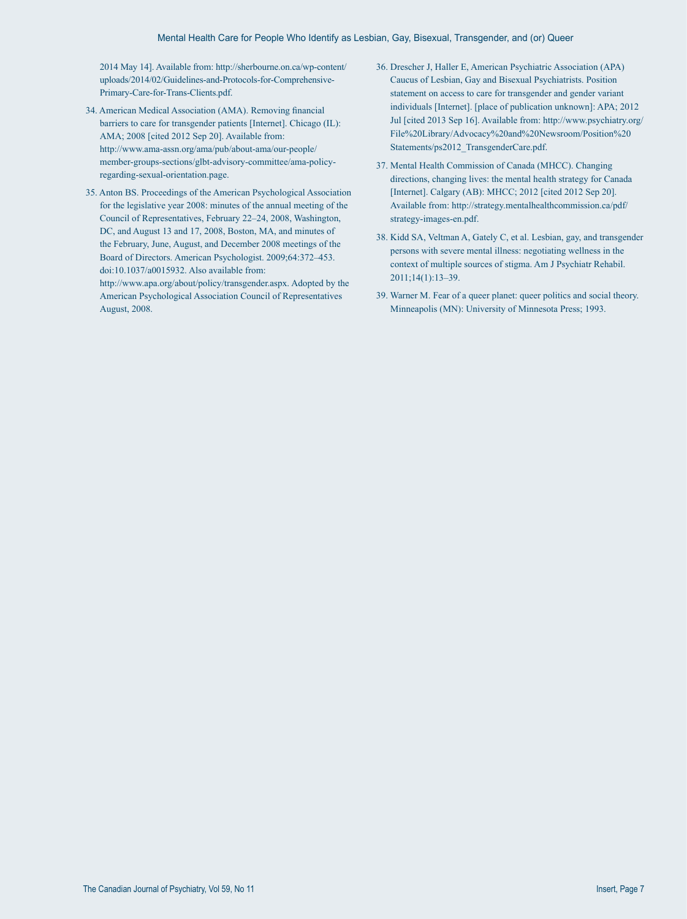2014 May 14]. Available from: http://sherbourne.on.ca/wp-content/ uploads/2014/02/Guidelines-and-Protocols-for-Comprehensive-Primary-Care-for-Trans-Clients.pdf.

- 34. American Medical Association (AMA). Removing financial barriers to care for transgender patients [Internet]. Chicago (IL): AMA; 2008 [cited 2012 Sep 20]. Available from: http://www.ama-assn.org/ama/pub/about-ama/our-people/ member-groups-sections/glbt-advisory-committee/ama-policyregarding-sexual-orientation.page.
- 35. Anton BS. Proceedings of the American Psychological Association for the legislative year 2008: minutes of the annual meeting of the Council of Representatives, February 22–24, 2008, Washington, DC, and August 13 and 17, 2008, Boston, MA, and minutes of the February, June, August, and December 2008 meetings of the Board of Directors. American Psychologist. 2009;64:372–453. doi:10.1037/a0015932. Also available from:

http://www.apa.org/about/policy/transgender.aspx. Adopted by the American Psychological Association Council of Representatives August, 2008.

- 36. Drescher J, Haller E, American Psychiatric Association (APA) Caucus of Lesbian, Gay and Bisexual Psychiatrists. Position statement on access to care for transgender and gender variant individuals [Internet]. [place of publication unknown]: APA; 2012 Jul [cited 2013 Sep 16]. Available from: http://www.psychiatry.org/ File%20Library/Advocacy%20and%20Newsroom/Position%20 Statements/ps2012\_TransgenderCare.pdf.
- 37. Mental Health Commission of Canada (MHCC). Changing directions, changing lives: the mental health strategy for Canada [Internet]. Calgary (AB): MHCC; 2012 [cited 2012 Sep 20]. Available from: http://strategy.mentalhealthcommission.ca/pdf/ strategy-images-en.pdf.
- 38. Kidd SA, Veltman A, Gately C, et al. Lesbian, gay, and transgender persons with severe mental illness: negotiating wellness in the context of multiple sources of stigma. Am J Psychiatr Rehabil. 2011;14(1):13–39.
- 39. Warner M. Fear of a queer planet: queer politics and social theory. Minneapolis (MN): University of Minnesota Press; 1993.